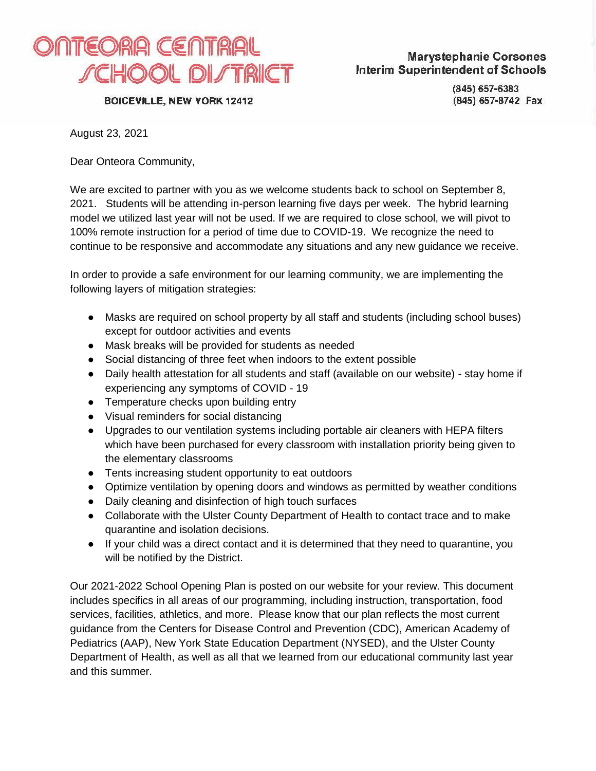

**BOICEVILLE, NEW YORK 12412** 

(845) 657-6383 (845) 657-8742 Fax

August 23, 2021

Dear Onteora Community,

We are excited to partner with you as we welcome students back to school on September 8, 2021. Students will be attending in-person learning five days per week. The hybrid learning model we utilized last year will not be used. If we are required to close school, we will pivot to 100% remote instruction for a period of time due to COVID-19. We recognize the need to continue to be responsive and accommodate any situations and any new guidance we receive.

In order to provide a safe environment for our learning community, we are implementing the following layers of mitigation strategies:

- Masks are required on school property by all staff and students (including school buses) except for outdoor activities and events
- Mask breaks will be provided for students as needed
- Social distancing of three feet when indoors to the extent possible
- Daily health attestation for all students and staff (available on our website) stay home if experiencing any symptoms of COVID - 19
- Temperature checks upon building entry
- Visual reminders for social distancing
- Upgrades to our ventilation systems including portable air cleaners with HEPA filters which have been purchased for every classroom with installation priority being given to the elementary classrooms
- Tents increasing student opportunity to eat outdoors
- Optimize ventilation by opening doors and windows as permitted by weather conditions
- Daily cleaning and disinfection of high touch surfaces
- Collaborate with the Ulster County Department of Health to contact trace and to make quarantine and isolation decisions.
- If your child was a direct contact and it is determined that they need to quarantine, you will be notified by the District.

Our 2021-2022 School Opening Plan is posted on our website for your review. This document includes specifics in all areas of our programming, including instruction, transportation, food services, facilities, athletics, and more. Please know that our plan reflects the most current guidance from the Centers for Disease Control and Prevention (CDC), American Academy of Pediatrics (AAP), New York State Education Department (NYSED), and the Ulster County Department of Health, as well as all that we learned from our educational community last year and this summer.